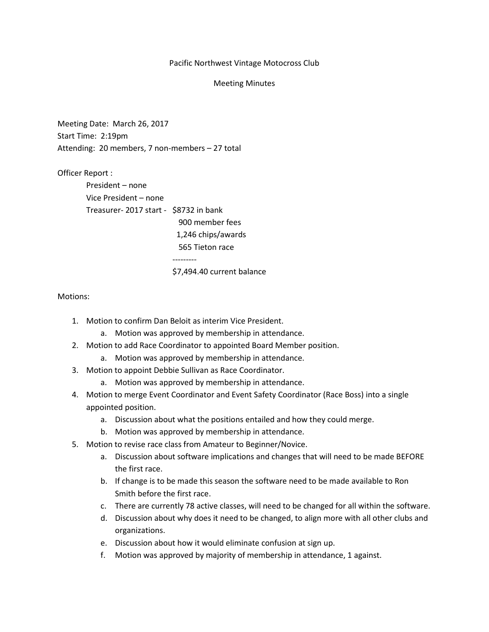### Pacific Northwest Vintage Motocross Club

#### Meeting Minutes

Meeting Date: March 26, 2017 Start Time: 2:19pm Attending: 20 members, 7 non-members – 27 total

Officer Report : President – none Vice President – none Treasurer- 2017 start - \$8732 in bank 900 member fees 1,246 chips/awards 565 Tieton race

---------

# \$7,494.40 current balance

### Motions:

- 1. Motion to confirm Dan Beloit as interim Vice President.
	- a. Motion was approved by membership in attendance.
- 2. Motion to add Race Coordinator to appointed Board Member position.
	- a. Motion was approved by membership in attendance.
- 3. Motion to appoint Debbie Sullivan as Race Coordinator.
	- a. Motion was approved by membership in attendance.
- 4. Motion to merge Event Coordinator and Event Safety Coordinator (Race Boss) into a single appointed position.
	- a. Discussion about what the positions entailed and how they could merge.
	- b. Motion was approved by membership in attendance.
- 5. Motion to revise race class from Amateur to Beginner/Novice.
	- a. Discussion about software implications and changes that will need to be made BEFORE the first race.
	- b. If change is to be made this season the software need to be made available to Ron Smith before the first race.
	- c. There are currently 78 active classes, will need to be changed for all within the software.
	- d. Discussion about why does it need to be changed, to align more with all other clubs and organizations.
	- e. Discussion about how it would eliminate confusion at sign up.
	- f. Motion was approved by majority of membership in attendance, 1 against.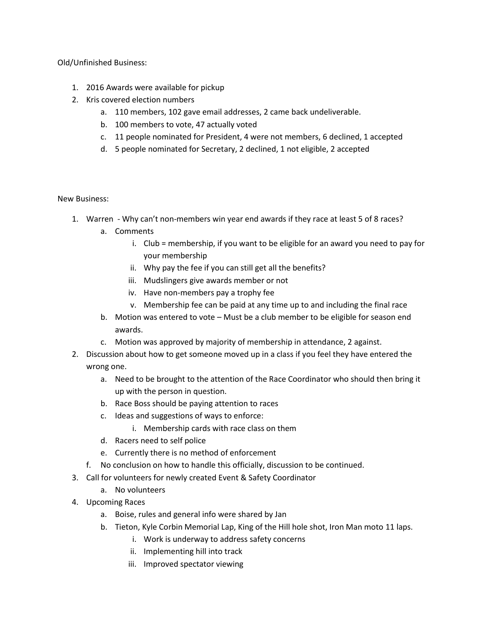Old/Unfinished Business:

- 1. 2016 Awards were available for pickup
- 2. Kris covered election numbers
	- a. 110 members, 102 gave email addresses, 2 came back undeliverable.
	- b. 100 members to vote, 47 actually voted
	- c. 11 people nominated for President, 4 were not members, 6 declined, 1 accepted
	- d. 5 people nominated for Secretary, 2 declined, 1 not eligible, 2 accepted

## New Business:

- 1. Warren Why can't non-members win year end awards if they race at least 5 of 8 races?
	- a. Comments
		- i. Club = membership, if you want to be eligible for an award you need to pay for your membership
		- ii. Why pay the fee if you can still get all the benefits?
		- iii. Mudslingers give awards member or not
		- iv. Have non-members pay a trophy fee
		- v. Membership fee can be paid at any time up to and including the final race
	- b. Motion was entered to vote Must be a club member to be eligible for season end awards.
	- c. Motion was approved by majority of membership in attendance, 2 against.
- 2. Discussion about how to get someone moved up in a class if you feel they have entered the wrong one.
	- a. Need to be brought to the attention of the Race Coordinator who should then bring it up with the person in question.
	- b. Race Boss should be paying attention to races
	- c. Ideas and suggestions of ways to enforce:
		- i. Membership cards with race class on them
	- d. Racers need to self police
	- e. Currently there is no method of enforcement
	- f. No conclusion on how to handle this officially, discussion to be continued.
- 3. Call for volunteers for newly created Event & Safety Coordinator
	- a. No volunteers
- 4. Upcoming Races
	- a. Boise, rules and general info were shared by Jan
	- b. Tieton, Kyle Corbin Memorial Lap, King of the Hill hole shot, Iron Man moto 11 laps.
		- i. Work is underway to address safety concerns
		- ii. Implementing hill into track
		- iii. Improved spectator viewing